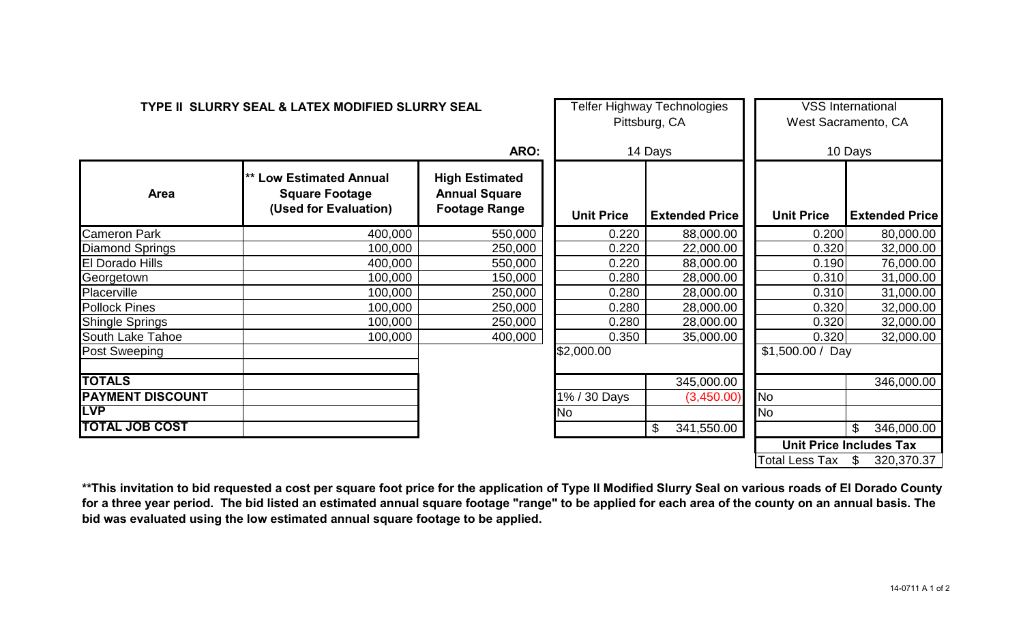| TYPE II SLURRY SEAL & LATEX MODIFIED SLURRY SEAL |                                                                                  |                                                                       | Telfer Highway Technologies<br>Pittsburg, CA |                       | <b>VSS International</b><br>West Sacramento, CA |                       |  |
|--------------------------------------------------|----------------------------------------------------------------------------------|-----------------------------------------------------------------------|----------------------------------------------|-----------------------|-------------------------------------------------|-----------------------|--|
| ARO:                                             |                                                                                  | 14 Days                                                               |                                              | 10 Days               |                                                 |                       |  |
| <b>Area</b>                                      | <b>** Low Estimated Annual</b><br><b>Square Footage</b><br>(Used for Evaluation) | <b>High Estimated</b><br><b>Annual Square</b><br><b>Footage Range</b> | <b>Unit Price</b>                            | <b>Extended Price</b> | <b>Unit Price</b>                               | <b>Extended Price</b> |  |
| <b>Cameron Park</b>                              | 400,000                                                                          | 550,000                                                               | 0.220                                        | 88,000.00             | 0.200                                           | 80,000.00             |  |
| <b>Diamond Springs</b>                           | 100,000                                                                          | 250,000                                                               | 0.220                                        | 22,000.00             | 0.320                                           | 32,000.00             |  |
| <b>El Dorado Hills</b>                           | 400,000                                                                          | 550,000                                                               | 0.220                                        | 88,000.00             | 0.190                                           | 76,000.00             |  |
| Georgetown                                       | 100,000                                                                          | 150,000                                                               | 0.280                                        | 28,000.00             | 0.310                                           | 31,000.00             |  |
| Placerville                                      | 100,000                                                                          | 250,000                                                               | 0.280                                        | 28,000.00             | 0.310                                           | 31,000.00             |  |
| <b>Pollock Pines</b>                             | 100,000                                                                          | 250,000                                                               | 0.280                                        | 28,000.00             | 0.320                                           | 32,000.00             |  |
| <b>Shingle Springs</b>                           | 100,000                                                                          | 250,000                                                               | 0.280                                        | 28,000.00             | 0.320                                           | 32,000.00             |  |
| <b>South Lake Tahoe</b>                          | 100,000                                                                          | 400,000                                                               | 0.350                                        | 35,000.00             | 0.320                                           | 32,000.00             |  |
| <b>Post Sweeping</b>                             |                                                                                  |                                                                       | \$2,000.00                                   |                       | $$1,500.00 /$ Day                               |                       |  |
| <b>TOTALS</b>                                    |                                                                                  |                                                                       |                                              | 345,000.00            |                                                 | 346,000.00            |  |
| <b>PAYMENT DISCOUNT</b>                          |                                                                                  |                                                                       | 1% / 30 Days                                 | (3,450.00)            | <b>No</b>                                       |                       |  |
| <b>LVP</b>                                       |                                                                                  |                                                                       | No                                           |                       | <b>No</b>                                       |                       |  |
| <b>TOTAL JOB COST</b>                            |                                                                                  |                                                                       |                                              | \$<br>341,550.00      |                                                 | \$<br>346,000.00      |  |
|                                                  |                                                                                  |                                                                       |                                              |                       | <b>Unit Price Includes Tax</b>                  |                       |  |
|                                                  |                                                                                  |                                                                       |                                              |                       | <b>Total Less Tax</b>                           | 320,370.37<br>\$      |  |

**\*\*This invitation to bid requested a cost per square foot price for the application of Type II Modified Slurry Seal on various roads of El Dorado County for a three year period. The bid listed an estimated annual square footage "range" to be applied for each area of the county on an annual basis. The bid was evaluated using the low estimated annual square footage to be applied.**